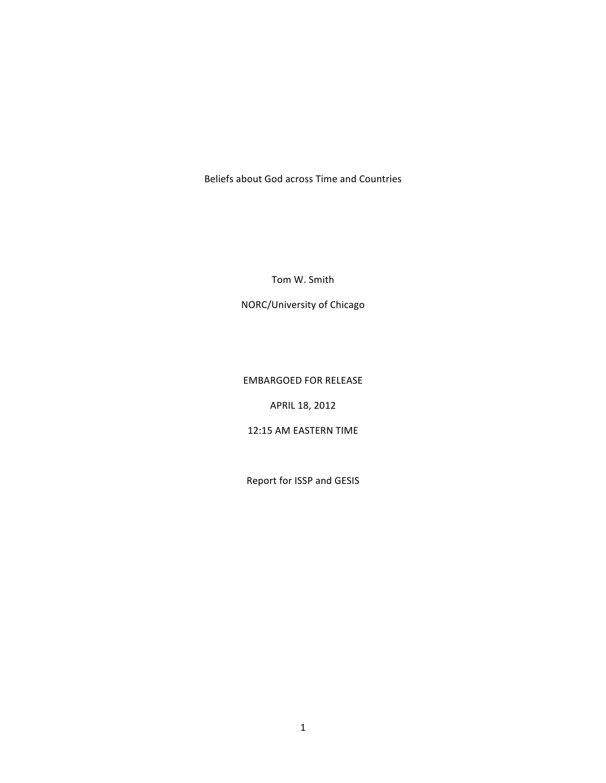Beliefs about God across Time and Countries

Tom W. Smith

NORC/University of Chicago

### EMBARGOED FOR RELEASE

APRIL 18, 2012

### 12:15 AM EASTERN TIME

Report for ISSP and GESIS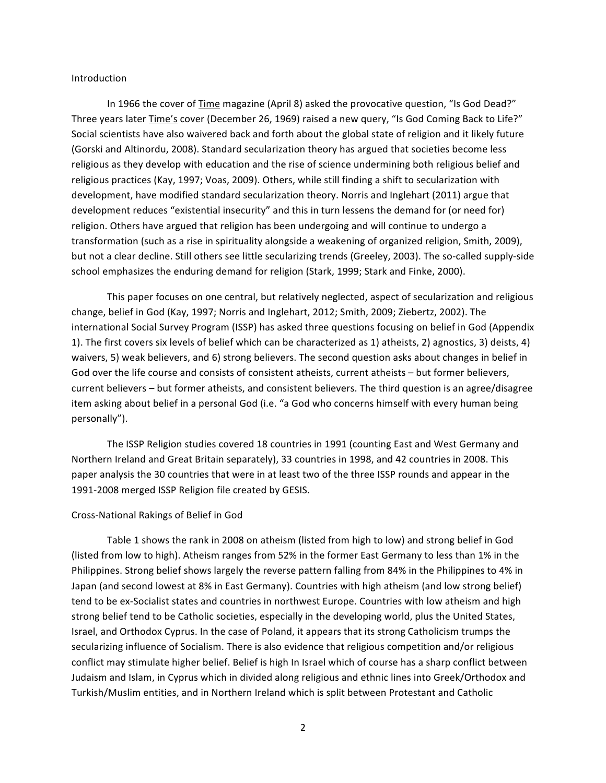#### Introduction

In 1966 the cover of Time magazine (April 8) asked the provocative question, "Is God Dead?" Three years later Time's cover (December 26, 1969) raised a new query, "Is God Coming Back to Life?" Social scientists have also waivered back and forth about the global state of religion and it likely future (Gorski and Altinordu, 2008). Standard secularization theory has argued that societies become less religious as they develop with education and the rise of science undermining both religious belief and religious practices (Kay, 1997; Voas, 2009). Others, while still finding a shift to secularization with development, have modified standard secularization theory. Norris and Inglehart (2011) argue that development reduces "existential insecurity" and this in turn lessens the demand for (or need for) religion. Others have argued that religion has been undergoing and will continue to undergo a transformation (such as a rise in spirituality alongside a weakening of organized religion, Smith, 2009), but not a clear decline. Still others see little secularizing trends (Greeley, 2003). The so-called supply-side school emphasizes the enduring demand for religion (Stark, 1999; Stark and Finke, 2000).

This paper focuses on one central, but relatively neglected, aspect of secularization and religious change, belief in God (Kay, 1997; Norris and Inglehart, 2012; Smith, 2009; Ziebertz, 2002). The international Social Survey Program (ISSP) has asked three questions focusing on belief in God (Appendix 1). The first covers six levels of belief which can be characterized as 1) atheists, 2) agnostics, 3) deists, 4) waivers, 5) weak believers, and 6) strong believers. The second question asks about changes in belief in God over the life course and consists of consistent atheists, current atheists – but former believers, current believers – but former atheists, and consistent believers. The third question is an agree/disagree" item asking about belief in a personal God (i.e. "a God who concerns himself with every human being personally").

The ISSP Religion studies covered 18 countries in 1991 (counting East and West Germany and Northern Ireland and Great Britain separately), 33 countries in 1998, and 42 countries in 2008. This paper analysis the 30 countries that were in at least two of the three ISSP rounds and appear in the 1991-2008 merged ISSP Religion file created by GESIS.

#### Cross-National Rakings of Belief in God

Table 1 shows the rank in 2008 on atheism (listed from high to low) and strong belief in God (listed from low to high). Atheism ranges from 52% in the former East Germany to less than 1% in the Philippines. Strong belief shows largely the reverse pattern falling from 84% in the Philippines to 4% in Japan (and second lowest at 8% in East Germany). Countries with high atheism (and low strong belief) tend to be ex-Socialist states and countries in northwest Europe. Countries with low atheism and high strong belief tend to be Catholic societies, especially in the developing world, plus the United States, Israel, and Orthodox Cyprus. In the case of Poland, it appears that its strong Catholicism trumps the secularizing influence of Socialism. There is also evidence that religious competition and/or religious conflict may stimulate higher belief. Belief is high In Israel which of course has a sharp conflict between Judaism and Islam, in Cyprus which in divided along religious and ethnic lines into Greek/Orthodox and Turkish/Muslim entities, and in Northern Ireland which is split between Protestant and Catholic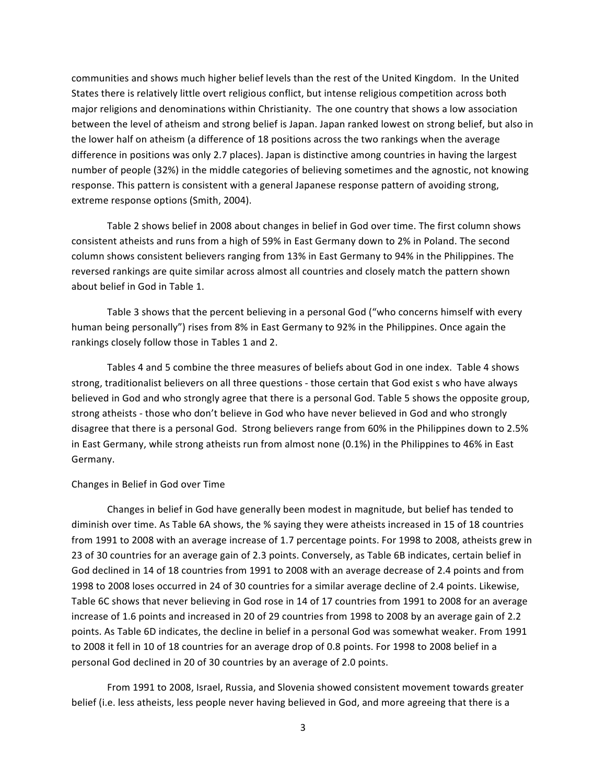communities and shows much higher belief levels than the rest of the United Kingdom. In the United States there is relatively little overt religious conflict, but intense religious competition across both major religions and denominations within Christianity. The one country that shows a low association between the level of atheism and strong belief is Japan. Japan ranked lowest on strong belief, but also in the lower half on atheism (a difference of 18 positions across the two rankings when the average difference in positions was only 2.7 places). Japan is distinctive among countries in having the largest number of people (32%) in the middle categories of believing sometimes and the agnostic, not knowing response. This pattern is consistent with a general Japanese response pattern of avoiding strong, extreme response options (Smith, 2004).

Table 2 shows belief in 2008 about changes in belief in God over time. The first column shows consistent atheists and runs from a high of 59% in East Germany down to 2% in Poland. The second column shows consistent believers ranging from 13% in East Germany to 94% in the Philippines. The reversed rankings are quite similar across almost all countries and closely match the pattern shown about belief in God in Table 1.

Table 3 shows that the percent believing in a personal God ("who concerns himself with every human being personally") rises from 8% in East Germany to 92% in the Philippines. Once again the rankings closely follow those in Tables 1 and 2.

Tables 4 and 5 combine the three measures of beliefs about God in one index. Table 4 shows strong, traditionalist believers on all three questions - those certain that God exist s who have always believed in God and who strongly agree that there is a personal God. Table 5 shows the opposite group, strong atheists - those who don't believe in God who have never believed in God and who strongly disagree that there is a personal God. Strong believers range from 60% in the Philippines down to 2.5% in East Germany, while strong atheists run from almost none (0.1%) in the Philippines to 46% in East Germany.

#### Changes in Belief in God over Time

Changes in belief in God have generally been modest in magnitude, but belief has tended to diminish over time. As Table 6A shows, the % saying they were atheists increased in 15 of 18 countries from 1991 to 2008 with an average increase of 1.7 percentage points. For 1998 to 2008, atheists grew in 23 of 30 countries for an average gain of 2.3 points. Conversely, as Table 6B indicates, certain belief in God declined in 14 of 18 countries from 1991 to 2008 with an average decrease of 2.4 points and from 1998 to 2008 loses occurred in 24 of 30 countries for a similar average decline of 2.4 points. Likewise, Table 6C shows that never believing in God rose in 14 of 17 countries from 1991 to 2008 for an average increase of 1.6 points and increased in 20 of 29 countries from 1998 to 2008 by an average gain of 2.2 points. As Table 6D indicates, the decline in belief in a personal God was somewhat weaker. From 1991 to 2008 it fell in 10 of 18 countries for an average drop of 0.8 points. For 1998 to 2008 belief in a personal God declined in 20 of 30 countries by an average of 2.0 points.

From 1991 to 2008, Israel, Russia, and Slovenia showed consistent movement towards greater belief (i.e. less atheists, less people never having believed in God, and more agreeing that there is a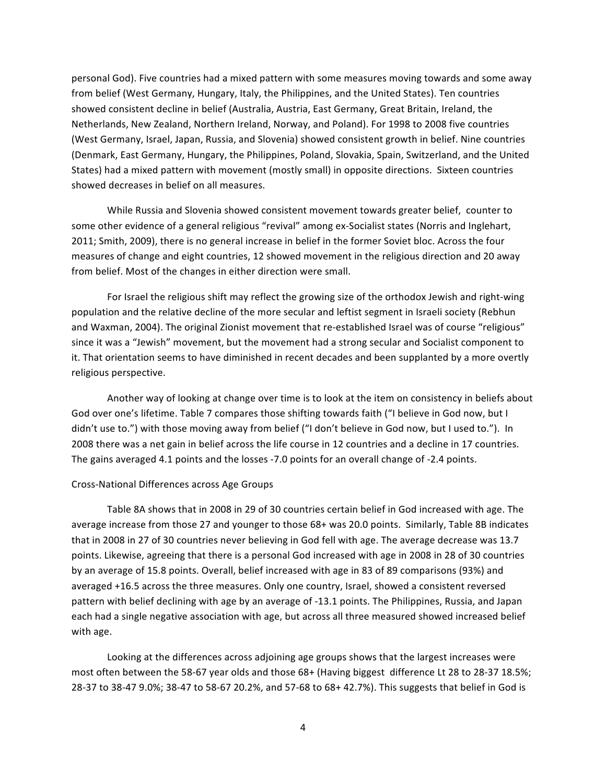personal God). Five countries had a mixed pattern with some measures moving towards and some away from belief (West Germany, Hungary, Italy, the Philippines, and the United States). Ten countries showed consistent decline in belief (Australia, Austria, East Germany, Great Britain, Ireland, the Netherlands, New Zealand, Northern Ireland, Norway, and Poland). For 1998 to 2008 five countries (West Germany, Israel, Japan, Russia, and Slovenia) showed consistent growth in belief. Nine countries (Denmark, East Germany, Hungary, the Philippines, Poland, Slovakia, Spain, Switzerland, and the United States) had a mixed pattern with movement (mostly small) in opposite directions. Sixteen countries showed decreases in belief on all measures.

While Russia and Slovenia showed consistent movement towards greater belief, counter to some other evidence of a general religious "revival" among ex-Socialist states (Norris and Inglehart, 2011; Smith, 2009), there is no general increase in belief in the former Soviet bloc. Across the four measures of change and eight countries, 12 showed movement in the religious direction and 20 away from belief. Most of the changes in either direction were small.

For Israel the religious shift may reflect the growing size of the orthodox Jewish and right-wing population and the relative decline of the more secular and leftist segment in Israeli society (Rebhun and Waxman, 2004). The original Zionist movement that re-established Israel was of course "religious" since it was a "Jewish" movement, but the movement had a strong secular and Socialist component to it. That orientation seems to have diminished in recent decades and been supplanted by a more overtly religious perspective.

Another way of looking at change over time is to look at the item on consistency in beliefs about God over one's lifetime. Table 7 compares those shifting towards faith ("I believe in God now, but I didn't use to.") with those moving away from belief ("I don't believe in God now, but I used to."). In 2008 there was a net gain in belief across the life course in 12 countries and a decline in 17 countries. The gains averaged 4.1 points and the losses -7.0 points for an overall change of -2.4 points.

#### Cross-National Differences across Age Groups

Table 8A shows that in 2008 in 29 of 30 countries certain belief in God increased with age. The average increase from those 27 and younger to those 68+ was 20.0 points. Similarly, Table 8B indicates that in 2008 in 27 of 30 countries never believing in God fell with age. The average decrease was 13.7 points. Likewise, agreeing that there is a personal God increased with age in 2008 in 28 of 30 countries by an average of 15.8 points. Overall, belief increased with age in 83 of 89 comparisons (93%) and averaged +16.5 across the three measures. Only one country, Israel, showed a consistent reversed pattern with belief declining with age by an average of -13.1 points. The Philippines, Russia, and Japan each had a single negative association with age, but across all three measured showed increased belief with age.

Looking at the differences across adjoining age groups shows that the largest increases were most often between the 58-67 year olds and those 68+ (Having biggest difference Lt 28 to 28-37 18.5%; 28-37 to 38-47 9.0%; 38-47 to 58-67 20.2%, and 57-68 to 68+ 42.7%). This suggests that belief in God is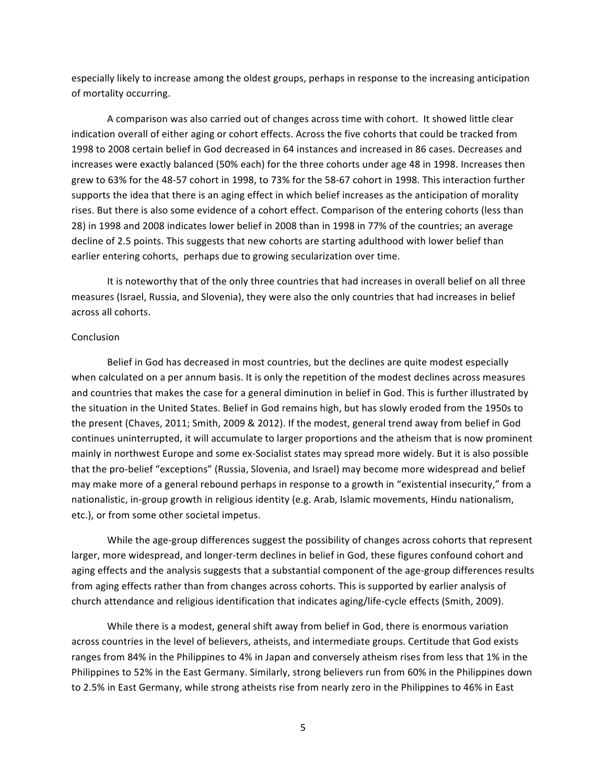especially likely to increase among the oldest groups, perhaps in response to the increasing anticipation of mortality occurring.

A comparison was also carried out of changes across time with cohort. It showed little clear indication overall of either aging or cohort effects. Across the five cohorts that could be tracked from 1998 to 2008 certain belief in God decreased in 64 instances and increased in 86 cases. Decreases and increases were exactly balanced (50% each) for the three cohorts under age 48 in 1998. Increases then grew to 63% for the 48-57 cohort in 1998, to 73% for the 58-67 cohort in 1998. This interaction further supports the idea that there is an aging effect in which belief increases as the anticipation of morality rises. But there is also some evidence of a cohort effect. Comparison of the entering cohorts (less than 28) in 1998 and 2008 indicates lower belief in 2008 than in 1998 in 77% of the countries; an average decline of 2.5 points. This suggests that new cohorts are starting adulthood with lower belief than earlier entering cohorts, perhaps due to growing secularization over time.

It is noteworthy that of the only three countries that had increases in overall belief on all three measures (Israel, Russia, and Slovenia), they were also the only countries that had increases in belief across all cohorts.

#### **Conclusion**

Belief in God has decreased in most countries, but the declines are quite modest especially when calculated on a per annum basis. It is only the repetition of the modest declines across measures and countries that makes the case for a general diminution in belief in God. This is further illustrated by the situation in the United States. Belief in God remains high, but has slowly eroded from the 1950s to the present (Chaves, 2011; Smith, 2009 & 2012). If the modest, general trend away from belief in God continues uninterrupted, it will accumulate to larger proportions and the atheism that is now prominent mainly in northwest Europe and some ex-Socialist states may spread more widely. But it is also possible that the pro-belief "exceptions" (Russia, Slovenia, and Israel) may become more widespread and belief may make more of a general rebound perhaps in response to a growth in "existential insecurity," from a nationalistic, in-group growth in religious identity (e.g. Arab, Islamic movements, Hindu nationalism, etc.), or from some other societal impetus.

While the age-group differences suggest the possibility of changes across cohorts that represent larger, more widespread, and longer-term declines in belief in God, these figures confound cohort and aging effects and the analysis suggests that a substantial component of the age-group differences results from aging effects rather than from changes across cohorts. This is supported by earlier analysis of church attendance and religious identification that indicates aging/life-cycle effects (Smith, 2009).

While there is a modest, general shift away from belief in God, there is enormous variation across countries in the level of believers, atheists, and intermediate groups. Certitude that God exists ranges from 84% in the Philippines to 4% in Japan and conversely atheism rises from less that 1% in the Philippines to 52% in the East Germany. Similarly, strong believers run from 60% in the Philippines down to 2.5% in East Germany, while strong atheists rise from nearly zero in the Philippines to 46% in East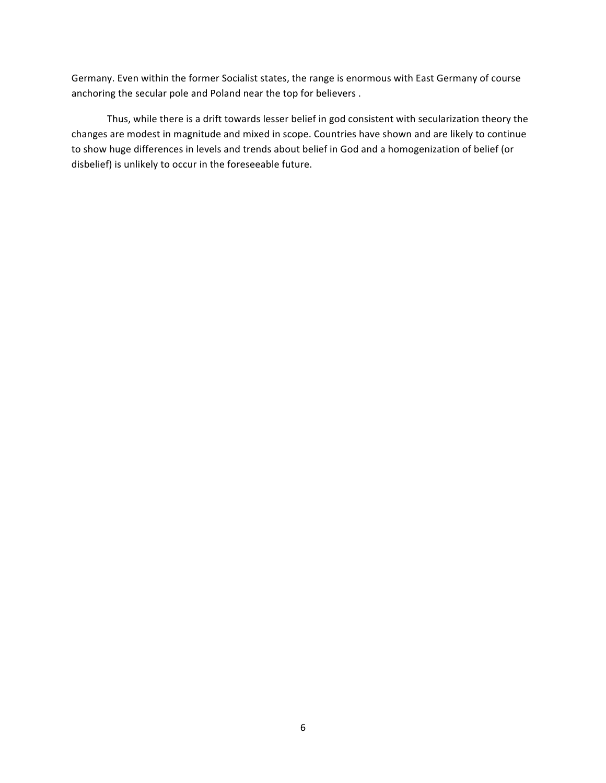Germany. Even within the former Socialist states, the range is enormous with East Germany of course anchoring the secular pole and Poland near the top for believers.

Thus, while there is a drift towards lesser belief in god consistent with secularization theory the changes are modest in magnitude and mixed in scope. Countries have shown and are likely to continue to show huge differences in levels and trends about belief in God and a homogenization of belief (or disbelief) is unlikely to occur in the foreseeable future.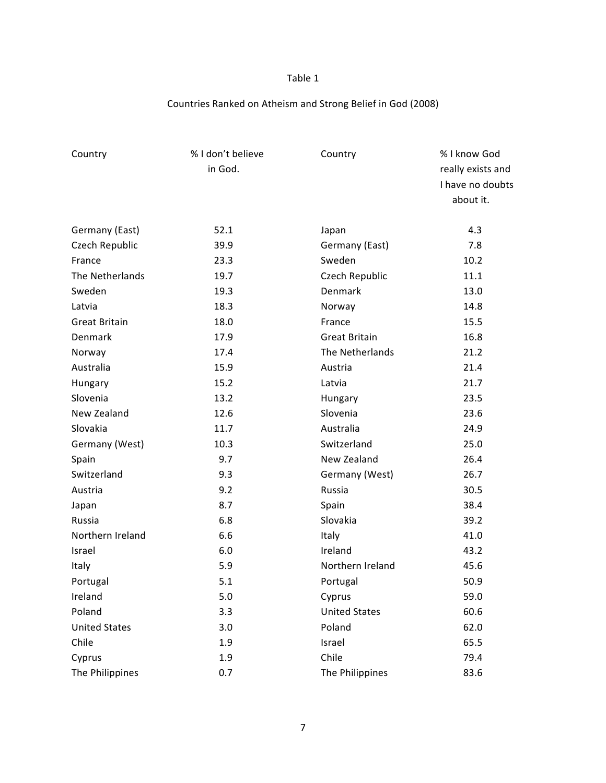## Countries Ranked on Atheism and Strong Belief in God (2008)

| Country              | % I don't believe<br>Country |                      | % I know God      |  |  |
|----------------------|------------------------------|----------------------|-------------------|--|--|
|                      | in God.                      |                      | really exists and |  |  |
|                      |                              |                      | I have no doubts  |  |  |
|                      |                              |                      | about it.         |  |  |
|                      |                              |                      |                   |  |  |
| Germany (East)       | 52.1                         | Japan                | 4.3               |  |  |
| Czech Republic       | 39.9                         | Germany (East)       | 7.8               |  |  |
| France               | 23.3                         | Sweden               | 10.2              |  |  |
| The Netherlands      | 19.7                         | Czech Republic       | 11.1              |  |  |
| Sweden               | 19.3                         | Denmark              | 13.0              |  |  |
| Latvia               | 18.3                         | Norway               | 14.8              |  |  |
| <b>Great Britain</b> | 18.0                         | France               | 15.5              |  |  |
| Denmark              | 17.9                         | <b>Great Britain</b> | 16.8              |  |  |
| Norway               | 17.4                         | The Netherlands      | 21.2              |  |  |
| Australia            | 15.9                         | Austria              | 21.4              |  |  |
| Hungary              | 15.2                         | Latvia               | 21.7              |  |  |
| Slovenia             | 13.2                         | Hungary              | 23.5              |  |  |
| New Zealand          | 12.6                         | Slovenia             | 23.6              |  |  |
| Slovakia             | 11.7                         | Australia            | 24.9              |  |  |
| Germany (West)       | 10.3                         | Switzerland          | 25.0              |  |  |
| Spain                | 9.7                          | New Zealand          | 26.4              |  |  |
| Switzerland          | 9.3                          | Germany (West)       | 26.7              |  |  |
| Austria              | 9.2                          | Russia               | 30.5              |  |  |
| Japan                | 8.7                          | Spain                | 38.4              |  |  |
| Russia               | 6.8                          | Slovakia             | 39.2              |  |  |
| Northern Ireland     | 6.6                          | Italy                | 41.0              |  |  |
| Israel               | 6.0                          | Ireland              | 43.2              |  |  |
| Italy                | 5.9                          | Northern Ireland     | 45.6              |  |  |
| Portugal             | 5.1                          | Portugal             | 50.9              |  |  |
| Ireland              | 5.0                          | Cyprus               | 59.0              |  |  |
| Poland               | 3.3                          | <b>United States</b> | 60.6              |  |  |
| <b>United States</b> | 3.0                          | Poland               | 62.0              |  |  |
| Chile                | 1.9                          | Israel               | 65.5              |  |  |
| Cyprus               | 1.9                          | Chile                | 79.4              |  |  |
| The Philippines      | 0.7                          | The Philippines      | 83.6              |  |  |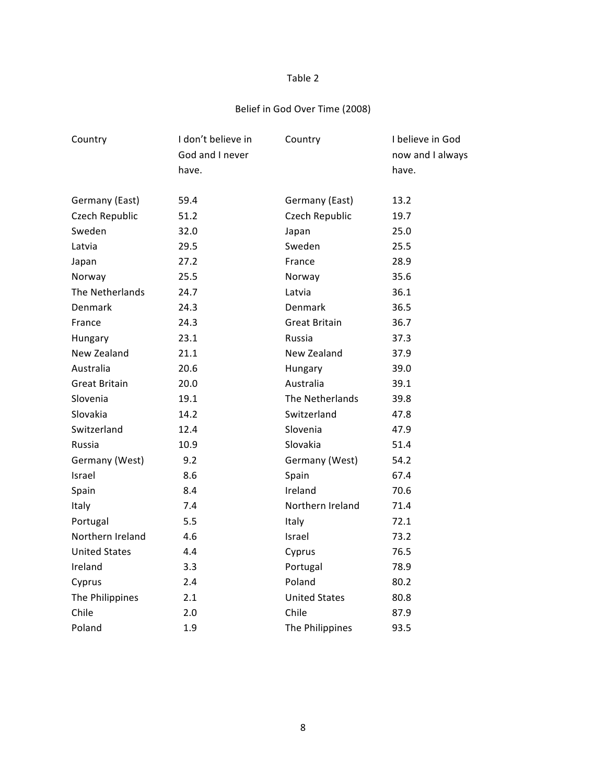## Belief in God Over Time (2008)

| Country              | I don't believe in | Country              | I believe in God |
|----------------------|--------------------|----------------------|------------------|
|                      | God and I never    |                      | now and I always |
|                      | have.              |                      | have.            |
|                      |                    |                      |                  |
| Germany (East)       | 59.4               | Germany (East)       | 13.2             |
| Czech Republic       | 51.2               | Czech Republic       | 19.7             |
| Sweden               | 32.0               | Japan                | 25.0             |
| Latvia               | 29.5               | Sweden               | 25.5             |
| Japan                | 27.2               | France               | 28.9             |
| Norway               | 25.5               | Norway               | 35.6             |
| The Netherlands      | 24.7               | Latvia               | 36.1             |
| Denmark              | 24.3               | Denmark              | 36.5             |
| France               | 24.3               | <b>Great Britain</b> | 36.7             |
| Hungary              | 23.1               | Russia               | 37.3             |
| New Zealand          | 21.1               | New Zealand          | 37.9             |
| Australia            | 20.6               | Hungary              | 39.0             |
| <b>Great Britain</b> | 20.0               | Australia            | 39.1             |
| Slovenia             | 19.1               | The Netherlands      | 39.8             |
| Slovakia             | 14.2               | Switzerland          | 47.8             |
| Switzerland          | 12.4               | Slovenia             | 47.9             |
| Russia               | 10.9               | Slovakia             | 51.4             |
| Germany (West)       | 9.2                | Germany (West)       | 54.2             |
| Israel               | 8.6                | Spain                | 67.4             |
| Spain                | 8.4                | Ireland              | 70.6             |
| Italy                | 7.4                | Northern Ireland     | 71.4             |
| Portugal             | 5.5                | Italy                | 72.1             |
| Northern Ireland     | 4.6                | Israel               | 73.2             |
| <b>United States</b> | 4.4                | Cyprus               | 76.5             |
| Ireland              | 3.3                | Portugal             | 78.9             |
| Cyprus               | 2.4                | Poland               | 80.2             |
| The Philippines      | 2.1                | <b>United States</b> | 80.8             |
| Chile                | 2.0                | Chile                | 87.9             |
| Poland               | 1.9                | The Philippines      | 93.5             |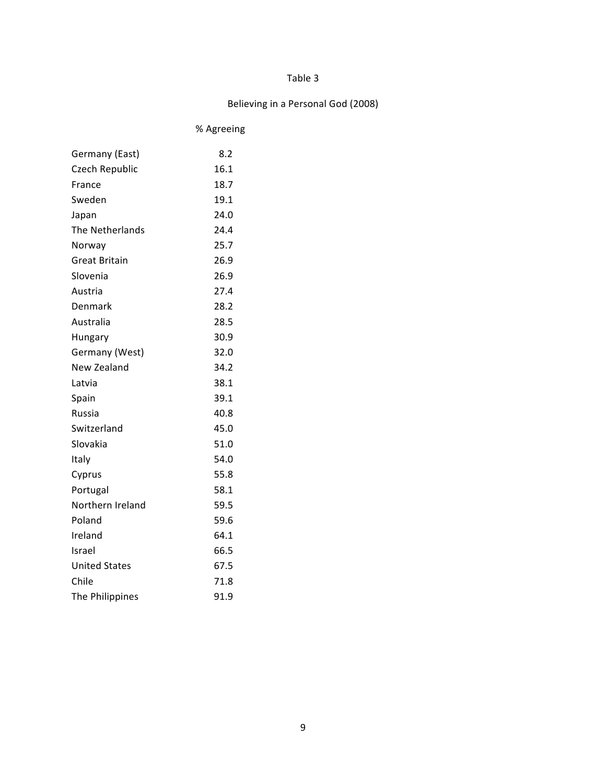## Believing in a Personal God (2008)

% Agreeing

| Germany (East)       | 8.2  |
|----------------------|------|
| Czech Republic       | 16.1 |
| France               | 18.7 |
| Sweden               | 19.1 |
| Japan                | 24.0 |
| The Netherlands      | 24.4 |
| Norway               | 25.7 |
| <b>Great Britain</b> | 26.9 |
| Slovenia             | 26.9 |
| Austria              | 27.4 |
| Denmark              | 28.2 |
| Australia            | 28.5 |
| Hungary              | 30.9 |
| Germany (West)       | 32.0 |
| New Zealand          | 34.2 |
| Latvia               | 38.1 |
| Spain                | 39.1 |
| <b>Russia</b>        | 40.8 |
| Switzerland          | 45.0 |
| Slovakia             | 51.0 |
| Italy                | 54.0 |
| Cyprus               | 55.8 |
| Portugal             | 58.1 |
| Northern Ireland     | 59.5 |
| Poland               | 59.6 |
| Ireland              | 64.1 |
| Israel               | 66.5 |
| <b>United States</b> | 67.5 |
| Chile                | 71.8 |
| The Philippines      | 91.9 |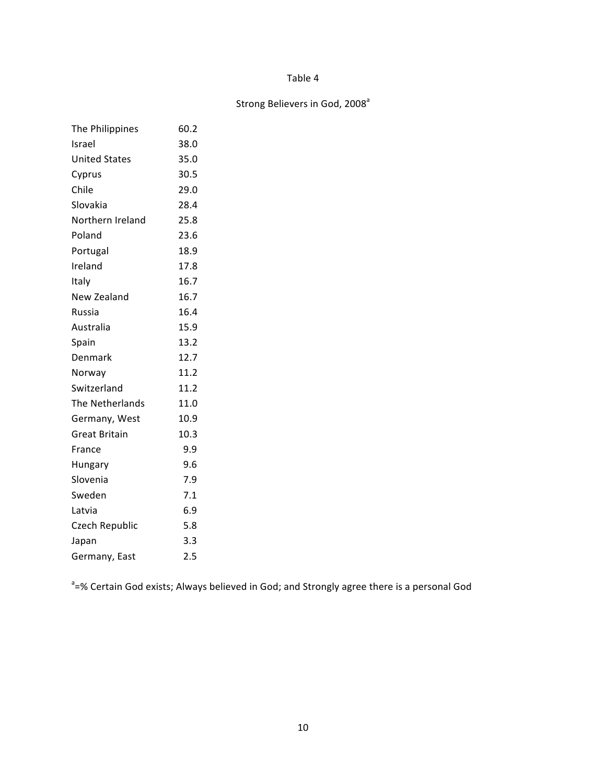# Strong Believers in God, 2008<sup>a</sup>

| The Philippines      | 60.2 |
|----------------------|------|
| Israel               | 38.0 |
| <b>United States</b> | 35.0 |
| Cyprus               | 30.5 |
| Chile                | 29.0 |
| Slovakia             | 28.4 |
| Northern Ireland     | 25.8 |
| Poland               | 23.6 |
| Portugal             | 18.9 |
| Ireland              | 17.8 |
| Italy                | 16.7 |
| New Zealand          | 16.7 |
| Russia               | 16.4 |
| Australia            | 15.9 |
| Spain                | 13.2 |
| Denmark              | 12.7 |
| Norway               | 11.2 |
| Switzerland          | 11.2 |
| The Netherlands      | 11.0 |
| Germany, West        | 10.9 |
| <b>Great Britain</b> | 10.3 |
| France               | 9.9  |
| Hungary              | 9.6  |
| Slovenia             | 7.9  |
| Sweden               | 7.1  |
| Latvia               | 6.9  |
| Czech Republic       | 5.8  |
| Japan                | 3.3  |
| Germany, East        | 2.5  |

<sup>a</sup>=% Certain God exists; Always believed in God; and Strongly agree there is a personal God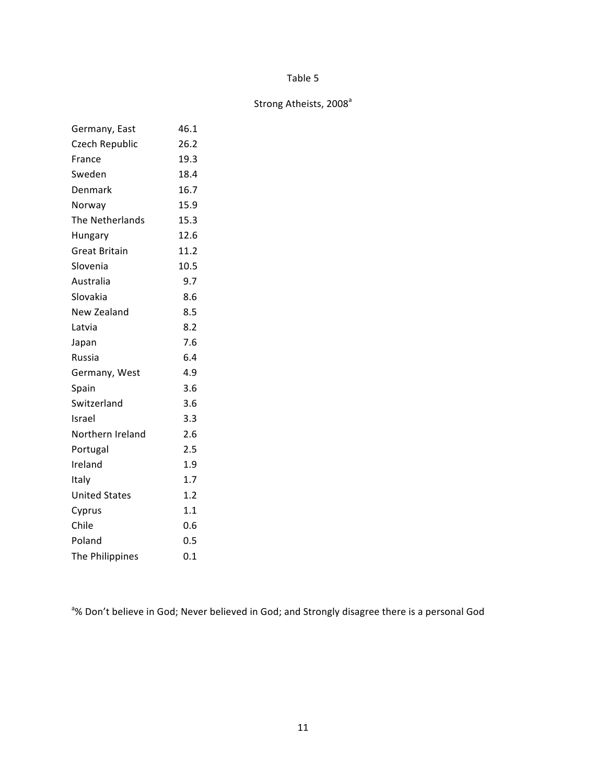## Strong Atheists, 2008<sup>a</sup>

| Germany, East        | 46.1 |
|----------------------|------|
| Czech Republic       | 26.2 |
| France               | 19.3 |
| Sweden               | 18.4 |
| Denmark              | 16.7 |
| Norway               | 15.9 |
| The Netherlands      | 15.3 |
| Hungary              | 12.6 |
| <b>Great Britain</b> | 11.2 |
| Slovenia             | 10.5 |
| Australia            | 9.7  |
| Slovakia             | 8.6  |
| New Zealand          | 8.5  |
| Latvia               | 8.2  |
| Japan                | 7.6  |
| Russia               | 6.4  |
| Germany, West        | 4.9  |
| Spain                | 3.6  |
| Switzerland          | 3.6  |
| Israel               | 3.3  |
| Northern Ireland     | 2.6  |
| Portugal             | 2.5  |
| Ireland              | 1.9  |
| Italy                | 1.7  |
| <b>United States</b> | 1.2  |
| Cyprus               | 1.1  |
| Chile                | 0.6  |
| Poland               | 0.5  |
| The Philippines      | 0.1  |

<sup>a</sup>% Don't believe in God; Never believed in God; and Strongly disagree there is a personal God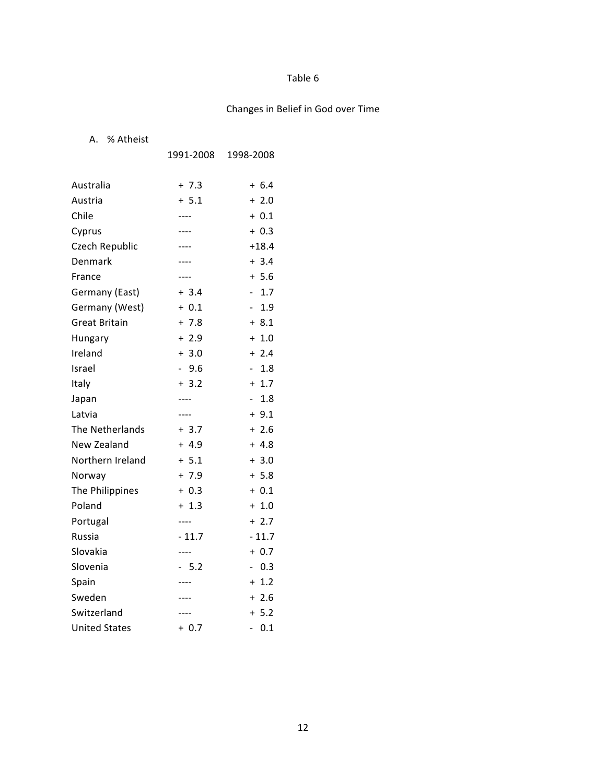# Changes in Belief in God over Time

### A. % Atheist

|                      | 1991-2008             | 1998-2008                       |
|----------------------|-----------------------|---------------------------------|
|                      |                       |                                 |
| Australia            | $+7.3$                | $+ 6.4$                         |
| Austria              | $+ 5.1$               | $+2.0$                          |
| Chile                | ----                  | $+ 0.1$                         |
| Cyprus               |                       | $+ 0.3$                         |
| Czech Republic       |                       | $+18.4$                         |
| Denmark              | ----                  | $+3.4$                          |
| France               | ----                  | $+ 5.6$                         |
| Germany (East)       | $+3.4$                | 1.7<br>$\overline{\phantom{0}}$ |
| Germany (West)       | $+ 0.1$               | 1.9                             |
| <b>Great Britain</b> | $+7.8$                | $+8.1$                          |
| Hungary              | $+2.9$                | $+1.0$                          |
| Ireland              | $+3.0$                | $+2.4$                          |
| Israel               | 9.6<br>$\overline{a}$ | 1.8<br>$\overline{\phantom{a}}$ |
| Italy                | $+3.2$                | $+ 1.7$                         |
| Japan                | $---$                 | 1.8<br>$\overline{\phantom{0}}$ |
| Latvia               | ----                  | $+9.1$                          |
| The Netherlands      | $+3.7$                | $+2.6$                          |
| New Zealand          | $+4.9$                | $+4.8$                          |
| Northern Ireland     | $+ 5.1$               | $+3.0$                          |
| Norway               | $+7.9$                | $+ 5.8$                         |
| The Philippines      | $+ 0.3$               | $+ 0.1$                         |
| Poland               | $+1.3$                | $+ 1.0$                         |
| Portugal             | $---$                 | $+2.7$                          |
| Russia               | $-11.7$               | $-11.7$                         |
| Slovakia             | ----                  | $+ 0.7$                         |
| Slovenia             | $-5.2$                | 0.3<br>$\overline{\phantom{0}}$ |
| Spain                |                       | $+ 1.2$                         |
| Sweden               | ----                  | $+2.6$                          |
| Switzerland          |                       | $+ 5.2$                         |
| <b>United States</b> | $+ 0.7$               | 0.1                             |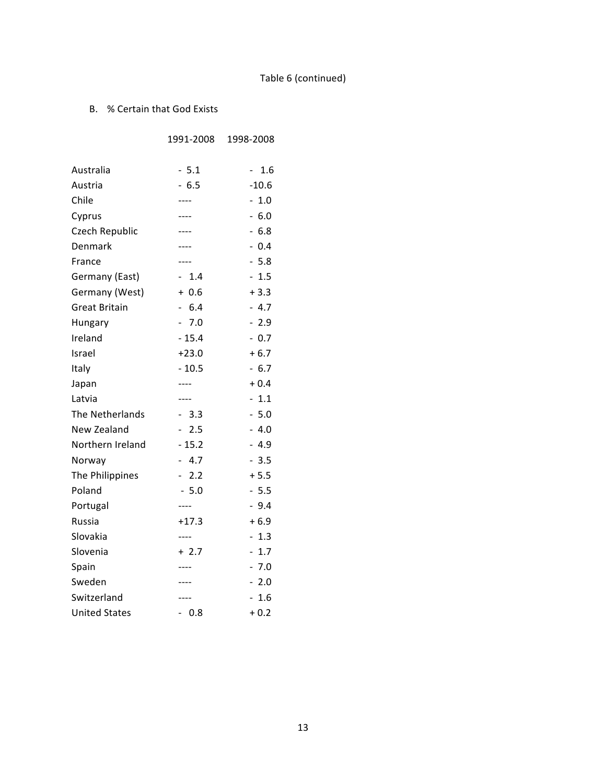# Table 6 (continued)

### B. % Certain that God Exists

|                      | 1991-2008 | 1998-2008 |
|----------------------|-----------|-----------|
|                      |           |           |
| Australia            | $-5.1$    | 1.6       |
| Austria              | $-6.5$    | $-10.6$   |
| Chile                | ----      | $-1.0$    |
| Cyprus               |           | $-6.0$    |
| Czech Republic       | ----      | $-6.8$    |
| Denmark              | ----      | $-0.4$    |
| France               |           | $-5.8$    |
| Germany (East)       | $-1.4$    | $-1.5$    |
| Germany (West)       | $+0.6$    | $+3.3$    |
| Great Britain        | $-6.4$    | $-4.7$    |
| Hungary              | $-7.0$    | $-2.9$    |
| Ireland              | $-15.4$   | $-0.7$    |
| Israel               | $+23.0$   | $+6.7$    |
| Italy                | $-10.5$   | $-6.7$    |
| Japan                | ----      | $+0.4$    |
| Latvia               | ----      | $-1.1$    |
| The Netherlands      | $-3.3$    | $-5.0$    |
| New Zealand          | $-2.5$    | - 4.0     |
| Northern Ireland     | $-15.2$   | $-4.9$    |
| Norway               | $-4.7$    | $-3.5$    |
| The Philippines      | $-2.2$    | $+ 5.5$   |
| Poland               | $-5.0$    | $-5.5$    |
| Portugal             | $---$     | $-9.4$    |
| Russia               | $+17.3$   | $+6.9$    |
| Slovakia             | $---$     | $-1.3$    |
| Slovenia             | $+2.7$    | $-1.7$    |
| Spain                |           | - 7.0     |
| Sweden               | ----      | $-2.0$    |
| Switzerland          | ----      | $-1.6$    |
| <b>United States</b> | $-0.8$    | $+0.2$    |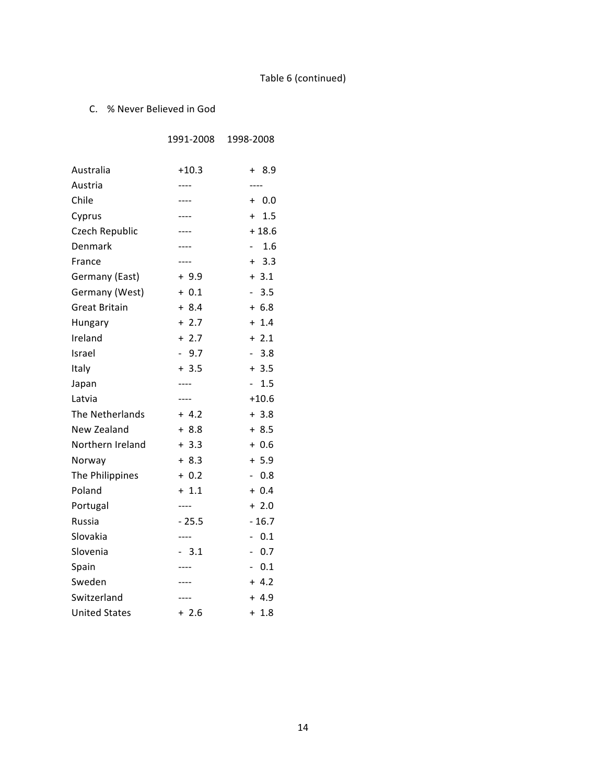# Table 6 (continued)

### C. % Never Believed in God

|                      | 1991-2008           | 1998-2008                           |
|----------------------|---------------------|-------------------------------------|
| Australia            | $+10.3$             | + 8.9                               |
| Austria              | ----                | ----                                |
| Chile                | ----                | $+ 0.0$                             |
| Cyprus               |                     | $+ 1.5$                             |
| Czech Republic       |                     | $+18.6$                             |
| Denmark              | ----                | 1.6<br>$\sim$                       |
| France               |                     | $+ 3.3$                             |
| Germany (East)       | $+9.9$              | $+3.1$                              |
| Germany (West)       | $+ 0.1$             | 3.5<br>$\sim$                       |
| <b>Great Britain</b> | $+8.4$              | $+ 6.8$                             |
| Hungary              | $+2.7$              | $+ 1.4$                             |
| Ireland              | $+2.7$              | $+2.1$                              |
| Israel               | 9.7<br>$\mathbf{r}$ | 3.8                                 |
| Italy                | $+3.5$              | $+3.5$                              |
| Japan                | ----                | 1.5                                 |
| Latvia               | ----                | $+10.6$                             |
| The Netherlands      | $+ 4.2$             | $+3.8$                              |
| New Zealand          | $+8.8$              | $+8.5$                              |
| Northern Ireland     | $+3.3$              | $+0.6$                              |
| Norway               | $+8.3$              | $+ 5.9$                             |
| The Philippines      | $+ 0.2$             | $-0.8$                              |
| Poland               | $+ 1.1$             | $+ 0.4$                             |
| Portugal             | $--- -$             | $+2.0$                              |
| Russia               | $-25.5$             | $-16.7$                             |
| Slovakia             | ----                | 0.1<br>$\qquad \qquad \blacksquare$ |
| Slovenia             | $-3.1$              | $-0.7$                              |
| Spain                |                     | 0.1                                 |
| Sweden               |                     | $+ 4.2$                             |
| Switzerland          | ----                | $+4.9$                              |
| <b>United States</b> | $+2.6$              | $+ 1.8$                             |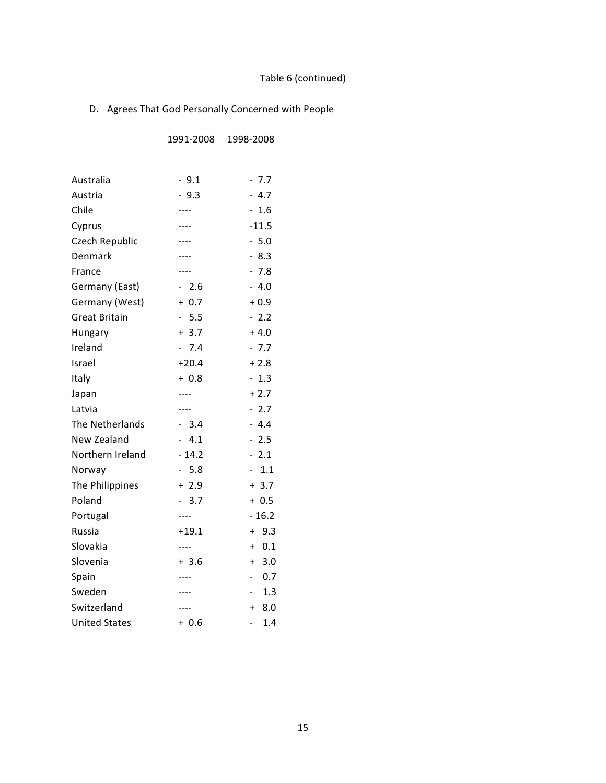# Table 6 (continued)

## D. Agrees That God Personally Concerned with People

1991-2008 1998-2008

| Australia            | $-9.1$  | $-7.7$                          |
|----------------------|---------|---------------------------------|
| Austria              | $-9.3$  | $-4.7$                          |
| Chile                | ----    | $-1.6$                          |
| Cyprus               | ----    | $-11.5$                         |
| Czech Republic       | ----    | $-5.0$                          |
| Denmark              |         | $-8.3$                          |
| France               | ----    | $-7.8$                          |
| Germany (East)       | $-2.6$  | $-4.0$                          |
| Germany (West)       | $+ 0.7$ | $+0.9$                          |
| <b>Great Britain</b> | $-5.5$  | $-2.2$                          |
| Hungary              | $+ 3.7$ | $+4.0$                          |
| Ireland              | $-7.4$  | $-7.7$                          |
| Israel               | $+20.4$ | $+2.8$                          |
| Italy                | $+0.8$  | $-1.3$                          |
| Japan                | ----    | $+2.7$                          |
| Latvia               |         | $-2.7$                          |
| The Netherlands      | $-3.4$  | $-4.4$                          |
| New Zealand          | $-4.1$  | $-2.5$                          |
| Northern Ireland     | $-14.2$ | $-2.1$                          |
| Norway               | $-5.8$  | 1.1<br>$\overline{\phantom{0}}$ |
| The Philippines      | $+2.9$  | $+3.7$                          |
| Poland               | $-3.7$  | $+0.5$                          |
| Portugal             | ----    | $-16.2$                         |
| Russia               | $+19.1$ | 9.3<br>$+$                      |
| Slovakia             | ----    | 0.1<br>$\ddot{}$                |
| Slovenia             | $+3.6$  | $+ 3.0$                         |
| Spain                |         | 0.7                             |
| Sweden               |         | 1.3<br>$\blacksquare$           |
| Switzerland          | ----    | $+ 8.0$                         |
| <b>United States</b> | $+0.6$  | 1.4<br>$\overline{\phantom{0}}$ |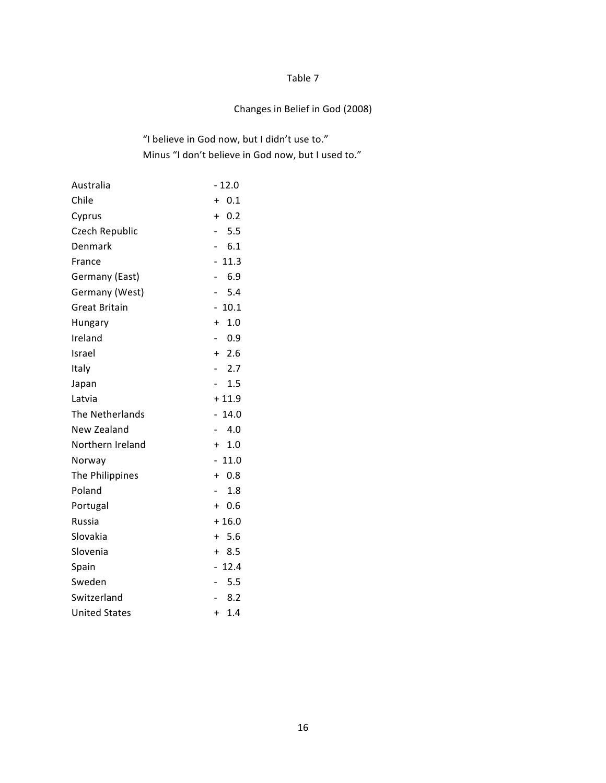## Changes in Belief in God (2008)

## "I believe in God now, but I didn't use to." Minus "I don't believe in God now, but I used to."

| Australia            | $-12.0$                          |
|----------------------|----------------------------------|
| Chile                | 0.1<br>$+$                       |
| Cyprus               | 0.2<br>$\ddot{}$                 |
| Czech Republic       | 5.5<br>$\overline{\phantom{0}}$  |
| Denmark              | 6.1<br>$\overline{\phantom{a}}$  |
| France               | 11.3<br>-                        |
| Germany (East)       | 6.9<br>$\overline{\phantom{0}}$  |
| Germany (West)       | 5.4<br>$\overline{\phantom{0}}$  |
| <b>Great Britain</b> | 10.1                             |
| Hungary              | 1.0<br>$+$                       |
| Ireland              | 0.9                              |
| Israel               | $+2.6$                           |
| Italy                | 2.7<br>$\overline{\phantom{0}}$  |
| Japan                | 1.5                              |
| Latvia               | $+11.9$                          |
| The Netherlands      | 14.0<br>$\overline{\phantom{0}}$ |
| New Zealand          | 4.0<br>$\overline{\phantom{0}}$  |
| Northern Ireland     | $+ 1.0$                          |
| Norway               | 11.0<br>$\overline{\phantom{0}}$ |
| The Philippines      | 0.8<br>$+$                       |
| Poland               | 1.8                              |
| Portugal             | 0.6<br>$+$                       |
| Russia               | $+16.0$                          |
| Slovakia             | $+ 5.6$                          |
| Slovenia             | $+8.5$                           |
| Spain                | 12.4                             |
| Sweden               | 5.5<br>$\overline{\phantom{0}}$  |
| Switzerland          | 8.2<br>$\sim$                    |
| <b>United States</b> | 1.4<br>$+$                       |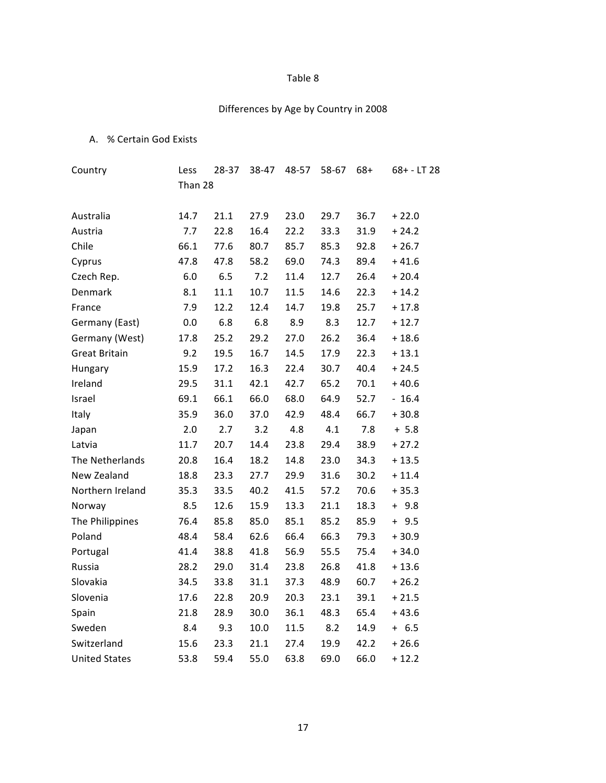## Differences by Age by Country in 2008

## A. % Certain God Exists

| Country              | Less    | 28-37 | 38-47 | 48-57 | 58-67 | $68+$ | $68 + - LT$ 28 |
|----------------------|---------|-------|-------|-------|-------|-------|----------------|
|                      | Than 28 |       |       |       |       |       |                |
| Australia            | 14.7    | 21.1  | 27.9  | 23.0  | 29.7  | 36.7  | $+22.0$        |
| Austria              | 7.7     | 22.8  | 16.4  | 22.2  | 33.3  | 31.9  | $+24.2$        |
| Chile                | 66.1    | 77.6  | 80.7  | 85.7  | 85.3  | 92.8  | $+26.7$        |
| Cyprus               | 47.8    | 47.8  | 58.2  | 69.0  | 74.3  | 89.4  | $+41.6$        |
| Czech Rep.           | $6.0\,$ | 6.5   | 7.2   | 11.4  | 12.7  | 26.4  | $+20.4$        |
| Denmark              | 8.1     | 11.1  | 10.7  | 11.5  | 14.6  | 22.3  | $+14.2$        |
| France               | 7.9     | 12.2  | 12.4  | 14.7  | 19.8  | 25.7  | $+17.8$        |
| Germany (East)       | 0.0     | 6.8   | 6.8   | 8.9   | 8.3   | 12.7  | $+12.7$        |
| Germany (West)       | 17.8    | 25.2  | 29.2  | 27.0  | 26.2  | 36.4  | $+18.6$        |
| <b>Great Britain</b> | 9.2     | 19.5  | 16.7  | 14.5  | 17.9  | 22.3  | $+13.1$        |
| Hungary              | 15.9    | 17.2  | 16.3  | 22.4  | 30.7  | 40.4  | $+24.5$        |
| Ireland              | 29.5    | 31.1  | 42.1  | 42.7  | 65.2  | 70.1  | $+40.6$        |
| Israel               | 69.1    | 66.1  | 66.0  | 68.0  | 64.9  | 52.7  | $-16.4$        |
| Italy                | 35.9    | 36.0  | 37.0  | 42.9  | 48.4  | 66.7  | $+30.8$        |
| Japan                | 2.0     | 2.7   | 3.2   | 4.8   | 4.1   | 7.8   | $+ 5.8$        |
| Latvia               | 11.7    | 20.7  | 14.4  | 23.8  | 29.4  | 38.9  | $+27.2$        |
| The Netherlands      | 20.8    | 16.4  | 18.2  | 14.8  | 23.0  | 34.3  | $+13.5$        |
| New Zealand          | 18.8    | 23.3  | 27.7  | 29.9  | 31.6  | 30.2  | $+11.4$        |
| Northern Ireland     | 35.3    | 33.5  | 40.2  | 41.5  | 57.2  | 70.6  | $+35.3$        |
| Norway               | 8.5     | 12.6  | 15.9  | 13.3  | 21.1  | 18.3  | 9.8<br>$+$     |
| The Philippines      | 76.4    | 85.8  | 85.0  | 85.1  | 85.2  | 85.9  | $+9.5$         |
| Poland               | 48.4    | 58.4  | 62.6  | 66.4  | 66.3  | 79.3  | $+30.9$        |
| Portugal             | 41.4    | 38.8  | 41.8  | 56.9  | 55.5  | 75.4  | $+34.0$        |
| Russia               | 28.2    | 29.0  | 31.4  | 23.8  | 26.8  | 41.8  | $+13.6$        |
| Slovakia             | 34.5    | 33.8  | 31.1  | 37.3  | 48.9  | 60.7  | $+26.2$        |
| Slovenia             | 17.6    | 22.8  | 20.9  | 20.3  | 23.1  | 39.1  | $+21.5$        |
| Spain                | 21.8    | 28.9  | 30.0  | 36.1  | 48.3  | 65.4  | $+43.6$        |
| Sweden               | 8.4     | 9.3   | 10.0  | 11.5  | 8.2   | 14.9  | $+ 6.5$        |
| Switzerland          | 15.6    | 23.3  | 21.1  | 27.4  | 19.9  | 42.2  | $+26.6$        |
| <b>United States</b> | 53.8    | 59.4  | 55.0  | 63.8  | 69.0  | 66.0  | $+12.2$        |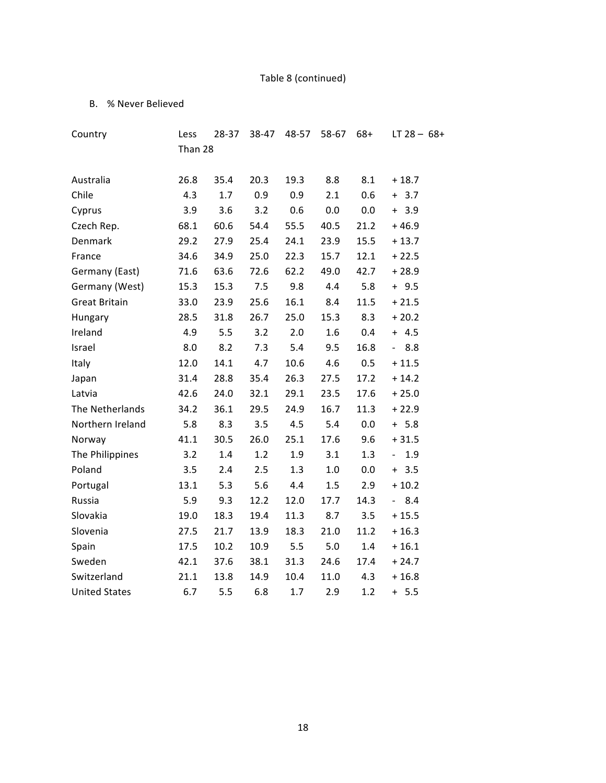# Table 8 (continued)

### B. % Never Believed

| Country              | Less    | 28-37 | 38-47 | 48-57 | 58-67 | $68+$ | LT $28 - 68 +$                  |
|----------------------|---------|-------|-------|-------|-------|-------|---------------------------------|
|                      | Than 28 |       |       |       |       |       |                                 |
| Australia            | 26.8    | 35.4  | 20.3  | 19.3  | 8.8   | 8.1   | $+18.7$                         |
| Chile                | 4.3     | 1.7   | 0.9   | 0.9   | 2.1   | 0.6   | $+ 3.7$                         |
| Cyprus               | 3.9     | 3.6   | 3.2   | 0.6   | 0.0   | 0.0   | $+ 3.9$                         |
| Czech Rep.           | 68.1    | 60.6  | 54.4  | 55.5  | 40.5  | 21.2  | $+46.9$                         |
| Denmark              | 29.2    | 27.9  | 25.4  | 24.1  | 23.9  | 15.5  | $+13.7$                         |
| France               | 34.6    | 34.9  | 25.0  | 22.3  | 15.7  | 12.1  | $+22.5$                         |
| Germany (East)       | 71.6    | 63.6  | 72.6  | 62.2  | 49.0  | 42.7  | $+28.9$                         |
| Germany (West)       | 15.3    | 15.3  | 7.5   | 9.8   | 4.4   | 5.8   | $+9.5$                          |
| <b>Great Britain</b> | 33.0    | 23.9  | 25.6  | 16.1  | 8.4   | 11.5  | $+21.5$                         |
| Hungary              | 28.5    | 31.8  | 26.7  | 25.0  | 15.3  | 8.3   | $+20.2$                         |
| Ireland              | 4.9     | 5.5   | 3.2   | 2.0   | 1.6   | 0.4   | $+ 4.5$                         |
| Israel               | 8.0     | 8.2   | 7.3   | 5.4   | 9.5   | 16.8  | 8.8<br>$\overline{\phantom{a}}$ |
| Italy                | 12.0    | 14.1  | 4.7   | 10.6  | 4.6   | 0.5   | $+11.5$                         |
| Japan                | 31.4    | 28.8  | 35.4  | 26.3  | 27.5  | 17.2  | $+14.2$                         |
| Latvia               | 42.6    | 24.0  | 32.1  | 29.1  | 23.5  | 17.6  | $+25.0$                         |
| The Netherlands      | 34.2    | 36.1  | 29.5  | 24.9  | 16.7  | 11.3  | $+22.9$                         |
| Northern Ireland     | 5.8     | 8.3   | 3.5   | 4.5   | 5.4   | 0.0   | $+ 5.8$                         |
| Norway               | 41.1    | 30.5  | 26.0  | 25.1  | 17.6  | 9.6   | $+31.5$                         |
| The Philippines      | 3.2     | 1.4   | 1.2   | 1.9   | 3.1   | 1.3   | 1.9<br>$\overline{\phantom{a}}$ |
| Poland               | 3.5     | 2.4   | 2.5   | 1.3   | 1.0   | 0.0   | $+ 3.5$                         |
| Portugal             | 13.1    | 5.3   | 5.6   | 4.4   | 1.5   | 2.9   | $+10.2$                         |
| Russia               | 5.9     | 9.3   | 12.2  | 12.0  | 17.7  | 14.3  | 8.4<br>$\blacksquare$           |
| Slovakia             | 19.0    | 18.3  | 19.4  | 11.3  | 8.7   | 3.5   | $+15.5$                         |
| Slovenia             | 27.5    | 21.7  | 13.9  | 18.3  | 21.0  | 11.2  | $+16.3$                         |
| Spain                | 17.5    | 10.2  | 10.9  | 5.5   | 5.0   | 1.4   | $+16.1$                         |
| Sweden               | 42.1    | 37.6  | 38.1  | 31.3  | 24.6  | 17.4  | $+24.7$                         |
| Switzerland          | 21.1    | 13.8  | 14.9  | 10.4  | 11.0  | 4.3   | $+16.8$                         |
| <b>United States</b> | 6.7     | 5.5   | 6.8   | 1.7   | 2.9   | 1.2   | $+ 5.5$                         |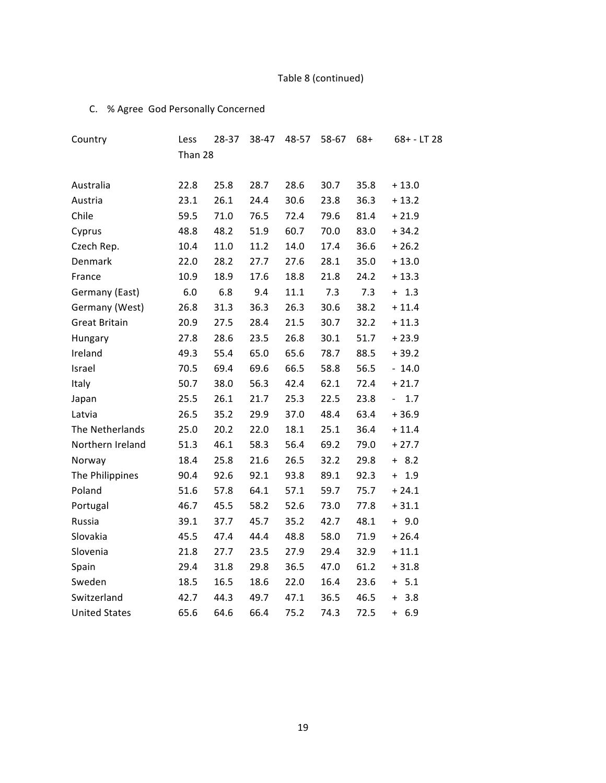# Table 8 (continued)

## C. % Agree God Personally Concerned

| Country              | Less    | 28-37 | 38-47 | 48-57 | 58-67 | $68+$ | $68 + - LT$ 28                      |
|----------------------|---------|-------|-------|-------|-------|-------|-------------------------------------|
|                      | Than 28 |       |       |       |       |       |                                     |
| Australia            | 22.8    | 25.8  | 28.7  | 28.6  | 30.7  | 35.8  | $+13.0$                             |
| Austria              | 23.1    | 26.1  | 24.4  | 30.6  | 23.8  | 36.3  | $+13.2$                             |
| Chile                | 59.5    | 71.0  | 76.5  | 72.4  | 79.6  | 81.4  | $+21.9$                             |
|                      |         |       |       |       |       |       |                                     |
| Cyprus               | 48.8    | 48.2  | 51.9  | 60.7  | 70.0  | 83.0  | $+34.2$                             |
| Czech Rep.           | 10.4    | 11.0  | 11.2  | 14.0  | 17.4  | 36.6  | $+26.2$                             |
| Denmark              | 22.0    | 28.2  | 27.7  | 27.6  | 28.1  | 35.0  | $+13.0$                             |
| France               | 10.9    | 18.9  | 17.6  | 18.8  | 21.8  | 24.2  | $+13.3$                             |
| Germany (East)       | 6.0     | 6.8   | 9.4   | 11.1  | 7.3   | 7.3   | $+ 1.3$                             |
| Germany (West)       | 26.8    | 31.3  | 36.3  | 26.3  | 30.6  | 38.2  | $+11.4$                             |
| <b>Great Britain</b> | 20.9    | 27.5  | 28.4  | 21.5  | 30.7  | 32.2  | $+11.3$                             |
| Hungary              | 27.8    | 28.6  | 23.5  | 26.8  | 30.1  | 51.7  | $+23.9$                             |
| Ireland              | 49.3    | 55.4  | 65.0  | 65.6  | 78.7  | 88.5  | $+39.2$                             |
| Israel               | 70.5    | 69.4  | 69.6  | 66.5  | 58.8  | 56.5  | $-14.0$                             |
| Italy                | 50.7    | 38.0  | 56.3  | 42.4  | 62.1  | 72.4  | $+21.7$                             |
| Japan                | 25.5    | 26.1  | 21.7  | 25.3  | 22.5  | 23.8  | $1.7\,$<br>$\overline{\phantom{0}}$ |
| Latvia               | 26.5    | 35.2  | 29.9  | 37.0  | 48.4  | 63.4  | $+36.9$                             |
| The Netherlands      | 25.0    | 20.2  | 22.0  | 18.1  | 25.1  | 36.4  | $+11.4$                             |
| Northern Ireland     | 51.3    | 46.1  | 58.3  | 56.4  | 69.2  | 79.0  | $+27.7$                             |
| Norway               | 18.4    | 25.8  | 21.6  | 26.5  | 32.2  | 29.8  | $+ 8.2$                             |
| The Philippines      | 90.4    | 92.6  | 92.1  | 93.8  | 89.1  | 92.3  | 1.9<br>$+$                          |
| Poland               | 51.6    | 57.8  | 64.1  | 57.1  | 59.7  | 75.7  | $+24.1$                             |
| Portugal             | 46.7    | 45.5  | 58.2  | 52.6  | 73.0  | 77.8  | $+31.1$                             |
| Russia               | 39.1    | 37.7  | 45.7  | 35.2  | 42.7  | 48.1  | $+9.0$                              |
| Slovakia             | 45.5    | 47.4  | 44.4  | 48.8  | 58.0  | 71.9  | $+26.4$                             |
| Slovenia             | 21.8    | 27.7  | 23.5  | 27.9  | 29.4  | 32.9  | $+11.1$                             |
| Spain                | 29.4    | 31.8  | 29.8  | 36.5  | 47.0  | 61.2  | $+31.8$                             |
| Sweden               | 18.5    | 16.5  | 18.6  | 22.0  | 16.4  | 23.6  | $+ 5.1$                             |
| Switzerland          | 42.7    | 44.3  | 49.7  | 47.1  | 36.5  | 46.5  | 3.8<br>$\ddot{}$                    |
| <b>United States</b> | 65.6    | 64.6  | 66.4  | 75.2  | 74.3  | 72.5  | 6.9<br>$\ddot{}$                    |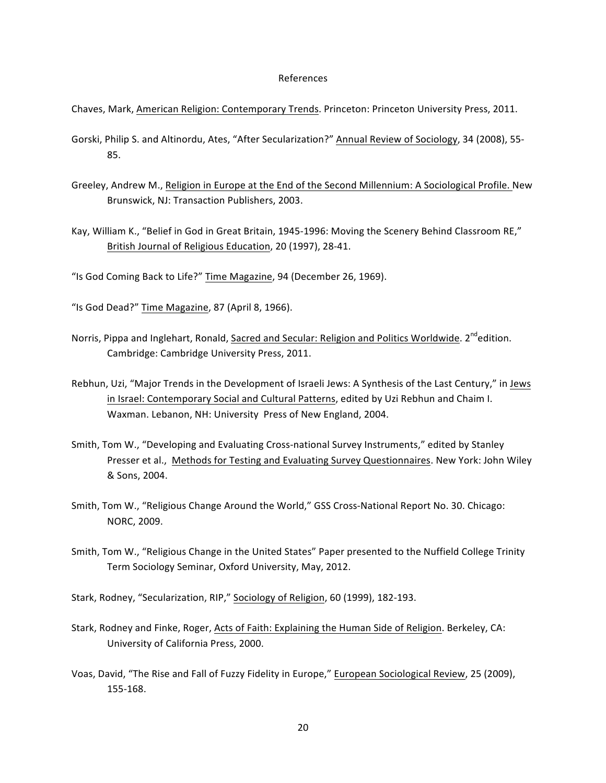#### References

- Chaves, Mark, American Religion: Contemporary Trends. Princeton: Princeton University Press, 2011.
- Gorski, Philip S. and Altinordu, Ates, "After Secularization?" Annual Review of Sociology, 34 (2008), 55-85.
- Greeley, Andrew M., Religion in Europe at the End of the Second Millennium: A Sociological Profile. New Brunswick, NJ: Transaction Publishers, 2003.
- Kay, William K., "Belief in God in Great Britain, 1945-1996: Moving the Scenery Behind Classroom RE," British Journal of Religious Education, 20 (1997), 28-41.
- "Is God Coming Back to Life?" Time Magazine, 94 (December 26, 1969).
- "Is God Dead?" Time Magazine, 87 (April 8, 1966).
- Norris, Pippa and Inglehart, Ronald, Sacred and Secular: Religion and Politics Worldwide. 2<sup>nd</sup>edition. Cambridge: Cambridge University Press, 2011.
- Rebhun, Uzi, "Major Trends in the Development of Israeli Jews: A Synthesis of the Last Century," in Jews in Israel: Contemporary Social and Cultural Patterns, edited by Uzi Rebhun and Chaim I. Waxman. Lebanon, NH: University Press of New England, 2004.
- Smith, Tom W., "Developing and Evaluating Cross-national Survey Instruments," edited by Stanley Presser et al., Methods for Testing and Evaluating Survey Questionnaires. New York: John Wiley & Sons, 2004.
- Smith, Tom W., "Religious Change Around the World," GSS Cross-National Report No. 30. Chicago: NORC, 2009.
- Smith, Tom W., "Religious Change in the United States" Paper presented to the Nuffield College Trinity Term Sociology Seminar, Oxford University, May, 2012.
- Stark, Rodney, "Secularization, RIP," Sociology of Religion, 60 (1999), 182-193.
- Stark, Rodney and Finke, Roger, Acts of Faith: Explaining the Human Side of Religion. Berkeley, CA: University of California Press, 2000.
- Voas, David, "The Rise and Fall of Fuzzy Fidelity in Europe," European Sociological Review, 25 (2009), 155c168.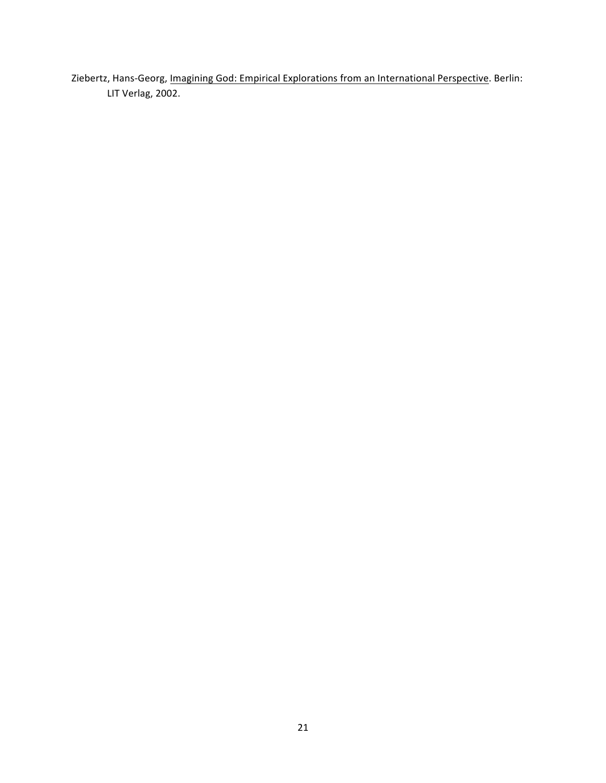Ziebertz, Hans-Georg, Imagining God: Empirical Explorations from an International Perspective. Berlin: LIT Verlag, 2002.